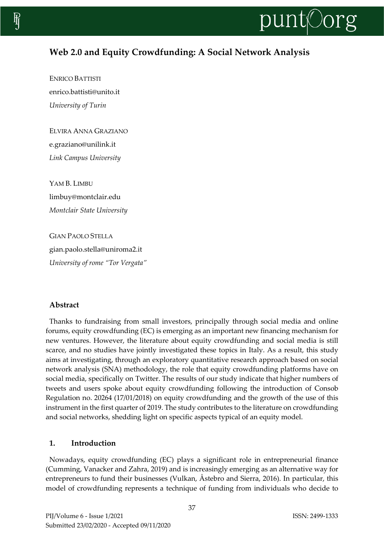

# **Web 2.0 and Equity Crowdfunding: A Social Network Analysis**

ENRICO BATTISTI enrico.battisti@unito.it *University of Turin*

ELVIRA ANNA GRAZIANO e.graziano@unilink.it *Link Campus University*

YAM B. LIMBU limbuy@montclair.edu *Montclair State University*

GIAN PAOLO STELLA gian.paolo.stella@uniroma2.it *University of rome "Tor Vergata"*

# **Abstract**

Thanks to fundraising from small investors, principally through social media and online forums, equity crowdfunding (EC) is emerging as an important new financing mechanism for new ventures. However, the literature about equity crowdfunding and social media is still scarce, and no studies have jointly investigated these topics in Italy. As a result, this study aims at investigating, through an exploratory quantitative research approach based on social network analysis (SNA) methodology, the role that equity crowdfunding platforms have on social media, specifically on Twitter. The results of our study indicate that higher numbers of tweets and users spoke about equity crowdfunding following the introduction of Consob Regulation no. 20264 (17/01/2018) on equity crowdfunding and the growth of the use of this instrument in the first quarter of 2019. The study contributes to the literature on crowdfunding and social networks, shedding light on specific aspects typical of an equity model.

# **1. Introduction**

Nowadays, equity crowdfunding (EC) plays a significant role in entrepreneurial finance (Cumming, Vanacker and Zahra, 2019) and is increasingly emerging as an alternative way for entrepreneurs to fund their businesses (Vulkan, Åstebro and Sierra, 2016). In particular, this model of crowdfunding represents a technique of funding from individuals who decide to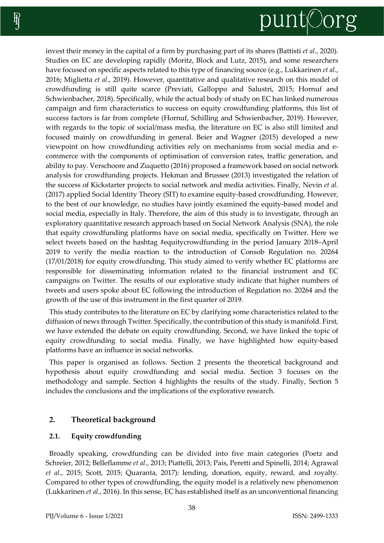# punt<sub>Oorg</sub>

invest their money in the capital of a firm by purchasing part of its shares (Battisti *et al*., 2020). Studies on EC are developing rapidly (Moritz, Block and Lutz, 2015), and some researchers have focused on specific aspects related to this type of financing source (e.g., Lukkarinen *et al*., 2016; Miglietta *et al*., 2019). However, quantitative and qualitative research on this model of crowdfunding is still quite scarce (Previati, Galloppo and Salustri, 2015; Hornuf and Schwienbacher, 2018). Specifically, while the actual body of study on EC has linked numerous campaign and firm characteristics to success on equity crowdfunding platforms, this list of success factors is far from complete (Hornuf, Schilling and Schwienbacher, 2019). However, with regards to the topic of social/mass media, the literature on EC is also still limited and focused mainly on crowdfunding in general. Beier and Wagner (2015) developed a new viewpoint on how crowdfunding activities rely on mechanisms from social media and ecommerce with the components of optimisation of conversion rates, traffic generation, and ability to pay. Verschoore and Zuquetto (2016) proposed a framework based on social network analysis for crowdfunding projects. Hekman and Brussee (2013) investigated the relation of the success of Kickstarter projects to social network and media activities. Finally, Nevin *et al*. (2017) applied Social Identity Theory (SIT) to examine equity-based crowdfunding. However, to the best of our knowledge, no studies have jointly examined the equity-based model and social media, especially in Italy. Therefore, the aim of this study is to investigate, through an exploratory quantitative research approach based on Social Network Analysis (SNA), the role that equity crowdfunding platforms have on social media, specifically on Twitter. Here we select tweets based on the hashtag #equitycrowdfunding in the period January 2018–April 2019 to verify the media reaction to the introduction of Consob Regulation no. 20264 (17/01/2018) for equity crowdfunding. This study aimed to verify whether EC platforms are responsible for disseminating information related to the financial instrument and EC campaigns on Twitter. The results of our explorative study indicate that higher numbers of tweets and users spoke about EC following the introduction of Regulation no. 20264 and the growth of the use of this instrument in the first quarter of 2019.

This study contributes to the literature on EC by clarifying some characteristics related to the diffusion of news through Twitter. Specifically, the contribution of this study is manifold. First, we have extended the debate on equity crowdfunding. Second, we have linked the topic of equity crowdfunding to social media. Finally, we have highlighted how equity-based platforms have an influence in social networks.

This paper is organised as follows. Section 2 presents the theoretical background and hypothesis about equity crowdfunding and social media. Section 3 focuses on the methodology and sample. Section 4 highlights the results of the study. Finally, Section 5 includes the conclusions and the implications of the explorative research.

# **2. Theoretical background**

# **2.1. Equity crowdfunding**

Broadly speaking, crowdfunding can be divided into five main categories (Poetz and Schreier, 2012; Belleflamme *et al*., 2013; Piattelli, 2013; Pais, Peretti and Spinelli, 2014; Agrawal *et al*., 2015; Scott, 2015; Quaranta, 2017): lending, donation, equity, reward, and royalty. Compared to other types of crowdfunding, the equity model is a relatively new phenomenon (Lukkarinen *et al*., 2016). In this sense, EC has established itself as an unconventional financing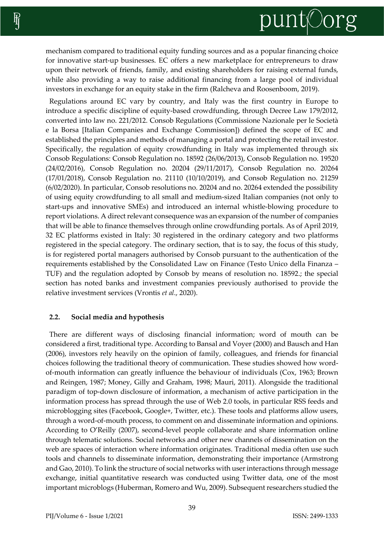mechanism compared to traditional equity funding sources and as a popular financing choice for innovative start-up businesses. EC offers a new marketplace for entrepreneurs to draw upon their network of friends, family, and existing shareholders for raising external funds, while also providing a way to raise additional financing from a large pool of individual investors in exchange for an equity stake in the firm (Ralcheva and Roosenboom, 2019).

Regulations around EC vary by country, and Italy was the first country in Europe to introduce a specific discipline of equity-based crowdfunding, through Decree Law 179/2012, converted into law no. 221/2012. Consob Regulations (Commissione Nazionale per le Società e la Borsa [Italian Companies and Exchange Commission]) defined the scope of EC and established the principles and methods of managing a portal and protecting the retail investor. Specifically, the regulation of equity crowdfunding in Italy was implemented through six Consob Regulations: Consob Regulation no. 18592 (26/06/2013), Consob Regulation no. 19520 (24/02/2016), Consob Regulation no. 20204 (29/11/2017), Consob Regulation no. 20264 (17/01/2018), Consob Regulation no. 21110 (10/10/2019), and Consob Regulation no. 21259 (6/02/2020). In particular, Consob resolutions no. 20204 and no. 20264 extended the possibility of using equity crowdfunding to all small and medium-sized Italian companies (not only to start-ups and innovative SMEs) and introduced an internal whistle-blowing procedure to report violations. A direct relevant consequence was an expansion of the number of companies that will be able to finance themselves through online crowdfunding portals. As of April 2019, 32 EC platforms existed in Italy: 30 registered in the ordinary category and two platforms registered in the special category. The ordinary section, that is to say, the focus of this study, is for registered portal managers authorised by Consob pursuant to the authentication of the requirements established by the Consolidated Law on Finance (Testo Unico della Finanza – TUF) and the regulation adopted by Consob by means of resolution no. 18592.; the special section has noted banks and investment companies previously authorised to provide the relative investment services (Vrontis *et al*., 2020).

#### **2.2. Social media and hypothesis**

There are different ways of disclosing financial information; word of mouth can be considered a first, traditional type. According to Bansal and Voyer (2000) and Bausch and Han (2006), investors rely heavily on the opinion of family, colleagues, and friends for financial choices following the traditional theory of communication. These studies showed how wordof-mouth information can greatly influence the behaviour of individuals (Cox, 1963; Brown and Reingen, 1987; Money, Gilly and Graham, 1998; Mauri, 2011). Alongside the traditional paradigm of top-down disclosure of information, a mechanism of active participation in the information process has spread through the use of Web 2.0 tools, in particular RSS feeds and microblogging sites (Facebook, Google+, Twitter, etc.). These tools and platforms allow users, through a word-of-mouth process, to comment on and disseminate information and opinions. According to O'Reilly (2007), second-level people collaborate and share information online through telematic solutions. Social networks and other new channels of dissemination on the web are spaces of interaction where information originates. Traditional media often use such tools and channels to disseminate information, demonstrating their importance (Armstrong and Gao, 2010). To link the structure of social networks with user interactions through message exchange, initial quantitative research was conducted using Twitter data, one of the most important microblogs (Huberman, Romero and Wu, 2009). Subsequent researchers studied the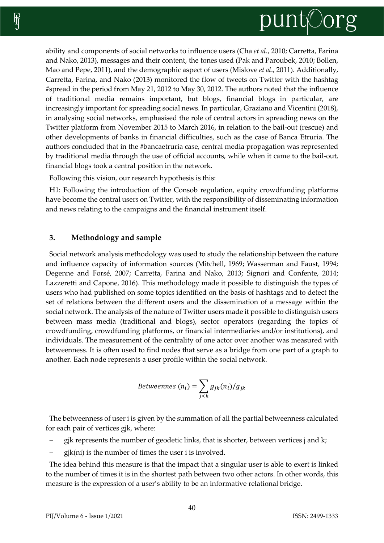

ability and components of social networks to influence users (Cha *et al*., 2010; Carretta, Farina and Nako, 2013), messages and their content, the tones used (Pak and Paroubek, 2010; Bollen, Mao and Pepe, 2011), and the demographic aspect of users (Mislove *et al*., 2011). Additionally, Carretta, Farina, and Nako (2013) monitored the flow of tweets on Twitter with the hashtag #spread in the period from May 21, 2012 to May 30, 2012. The authors noted that the influence of traditional media remains important, but blogs, financial blogs in particular, are increasingly important for spreading social news. In particular, Graziano and Vicentini (2018), in analysing social networks, emphasised the role of central actors in spreading news on the Twitter platform from November 2015 to March 2016, in relation to the bail-out (rescue) and other developments of banks in financial difficulties, such as the case of Banca Etruria. The authors concluded that in the #bancaetruria case, central media propagation was represented by traditional media through the use of official accounts, while when it came to the bail-out, financial blogs took a central position in the network.

Following this vision, our research hypothesis is this:

H1: Following the introduction of the Consob regulation, equity crowdfunding platforms have become the central users on Twitter, with the responsibility of disseminating information and news relating to the campaigns and the financial instrument itself.

#### **3. Methodology and sample**

Social network analysis methodology was used to study the relationship between the nature and influence capacity of information sources (Mitchell, 1969; Wasserman and Faust, 1994; Degenne and Forsé, 2007; Carretta, Farina and Nako, 2013; Signori and Confente, 2014; Lazzeretti and Capone, 2016). This methodology made it possible to distinguish the types of users who had published on some topics identified on the basis of hashtags and to detect the set of relations between the different users and the dissemination of a message within the social network. The analysis of the nature of Twitter users made it possible to distinguish users between mass media (traditional and blogs), sector operators (regarding the topics of crowdfunding, crowdfunding platforms, or financial intermediaries and/or institutions), and individuals. The measurement of the centrality of one actor over another was measured with betweenness. It is often used to find nodes that serve as a bridge from one part of a graph to another. Each node represents a user profile within the social network.

$$
Betweenness (n_i) = \sum_{j < k} g_{jk}(n_i) / g_{jk}
$$

The betweenness of user i is given by the summation of all the partial betweenness calculated for each pair of vertices gjk, where:

- − gjk represents the number of geodetic links, that is shorter, between vertices j and k;
- $gjk(ni)$  is the number of times the user i is involved.

The idea behind this measure is that the impact that a singular user is able to exert is linked to the number of times it is in the shortest path between two other actors. In other words, this measure is the expression of a user's ability to be an informative relational bridge.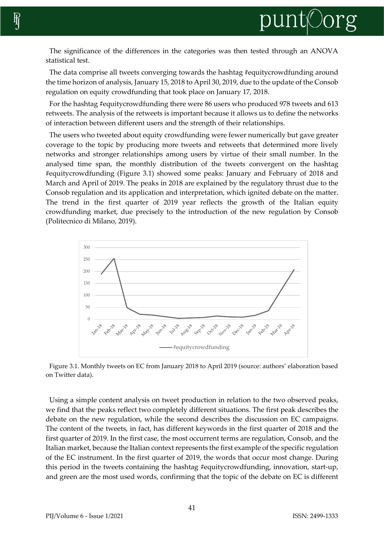The significance of the differences in the categories was then tested through an ANOVA statistical test.

The data comprise all tweets converging towards the hashtag #equitycrowdfunding around the time horizon of analysis, January 15, 2018 to April 30, 2019, due to the update of the Consob regulation on equity crowdfunding that took place on January 17, 2018.

For the hashtag #equitycrowdfunding there were 86 users who produced 978 tweets and 613 retweets. The analysis of the retweets is important because it allows us to define the networks of interaction between different users and the strength of their relationships.

The users who tweeted about equity crowdfunding were fewer numerically but gave greater coverage to the topic by producing more tweets and retweets that determined more lively networks and stronger relationships among users by virtue of their small number. In the analysed time span, the monthly distribution of the tweets convergent on the hashtag #equitycrowdfunding (Figure 3.1) showed some peaks: January and February of 2018 and March and April of 2019. The peaks in 2018 are explained by the regulatory thrust due to the Consob regulation and its application and interpretation, which ignited debate on the matter. The trend in the first quarter of 2019 year reflects the growth of the Italian equity crowdfunding market, due precisely to the introduction of the new regulation by Consob (Politecnico di Milano, 2019).



Figure 3.1. Monthly tweets on EC from January 2018 to April 2019 (source: authors' elaboration based on Twitter data).

Using a simple content analysis on tweet production in relation to the two observed peaks, we find that the peaks reflect two completely different situations. The first peak describes the debate on the new regulation, while the second describes the discussion on EC campaigns. The content of the tweets, in fact, has different keywords in the first quarter of 2018 and the first quarter of 2019. In the first case, the most occurrent terms are regulation, Consob, and the Italian market, because the Italian context represents the first example of the specific regulation of the EC instrument. In the first quarter of 2019, the words that occur most change. During this period in the tweets containing the hashtag #equitycrowdfunding, innovation, start-up, and green are the most used words, confirming that the topic of the debate on EC is different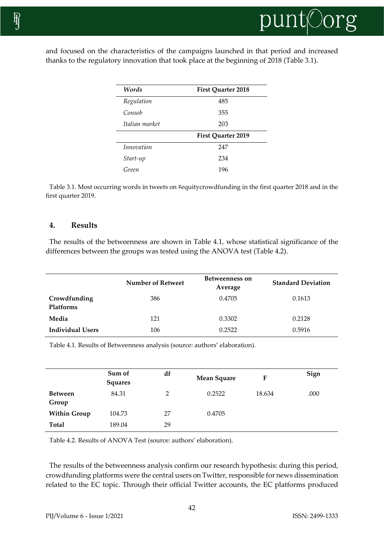

and focused on the characteristics of the campaigns launched in that period and increased thanks to the regulatory innovation that took place at the beginning of 2018 (Table 3.1).

| Words                    | <b>First Quarter 2018</b> |  |  |  |
|--------------------------|---------------------------|--|--|--|
| Regulation               | 485                       |  |  |  |
| Consob                   | 355                       |  |  |  |
| Italian market           | 203                       |  |  |  |
|                          | First Quarter 2019        |  |  |  |
| <i>Innovation</i><br>247 |                           |  |  |  |
|                          |                           |  |  |  |
| Start-up                 | 234                       |  |  |  |

Table 3.1. Most occurring words in tweets on #equitycrowdfunding in the first quarter 2018 and in the first quarter 2019.

### **4. Results**

The results of the betweenness are shown in Table 4.1, whose statistical significance of the differences between the groups was tested using the ANOVA test (Table 4.2).

|                           | Number of Retweet | Betweenness on<br>Average | <b>Standard Deviation</b> |
|---------------------------|-------------------|---------------------------|---------------------------|
| Crowdfunding<br>Platforms | 386               | 0.4705                    | 0.1613                    |
| Media                     | 121               | 0.3302                    | 0.2128                    |
| <b>Individual Users</b>   | 106               | 0.2522                    | 0.5916                    |

Table 4.1. Results of Betweenness analysis (source: authors' elaboration).

|                         | Sum of<br><b>Squares</b> | df | <b>Mean Square</b> | F      | Sign |
|-------------------------|--------------------------|----|--------------------|--------|------|
| <b>Between</b><br>Group | 84.31                    | 2  | 0.2522             | 18.634 | .000 |
| <b>Within Group</b>     | 104.73                   | 27 | 0.4705             |        |      |
| <b>Total</b>            | 189.04                   | 29 |                    |        |      |

Table 4.2. Results of ANOVA Test (source: authors' elaboration).

The results of the betweenness analysis confirm our research hypothesis: during this period, crowdfunding platforms were the central users on Twitter, responsible for news dissemination related to the EC topic. Through their official Twitter accounts, the EC platforms produced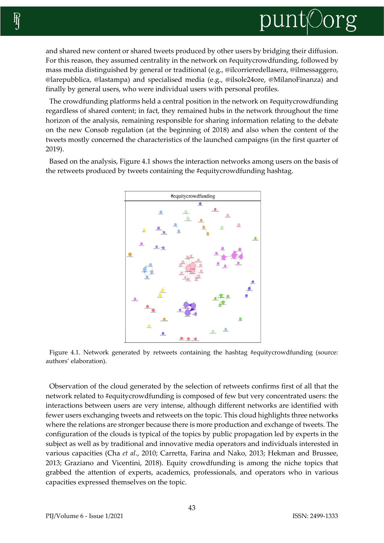

and shared new content or shared tweets produced by other users by bridging their diffusion. For this reason, they assumed centrality in the network on #equitycrowdfunding, followed by mass media distinguished by general or traditional (e.g., @ilcorrieredellasera, @ilmessaggero, @larepubblica, @lastampa) and specialised media (e.g., @ilsole24ore, @MilanoFinanza) and finally by general users, who were individual users with personal profiles.

The crowdfunding platforms held a central position in the network on #equitycrowdfunding regardless of shared content; in fact, they remained hubs in the network throughout the time horizon of the analysis, remaining responsible for sharing information relating to the debate on the new Consob regulation (at the beginning of 2018) and also when the content of the tweets mostly concerned the characteristics of the launched campaigns (in the first quarter of 2019).

Based on the analysis, Figure 4.1 shows the interaction networks among users on the basis of the retweets produced by tweets containing the #equitycrowdfunding hashtag.



Figure 4.1. Network generated by retweets containing the hashtag #equitycrowdfunding (source: authors' elaboration).

Observation of the cloud generated by the selection of retweets confirms first of all that the network related to #equitycrowdfunding is composed of few but very concentrated users: the interactions between users are very intense, although different networks are identified with fewer users exchanging tweets and retweets on the topic. This cloud highlights three networks where the relations are stronger because there is more production and exchange of tweets. The configuration of the clouds is typical of the topics by public propagation led by experts in the subject as well as by traditional and innovative media operators and individuals interested in various capacities (Cha *et al*., 2010; Carretta, Farina and Nako, 2013; Hekman and Brussee, 2013; Graziano and Vicentini, 2018). Equity crowdfunding is among the niche topics that grabbed the attention of experts, academics, professionals, and operators who in various capacities expressed themselves on the topic.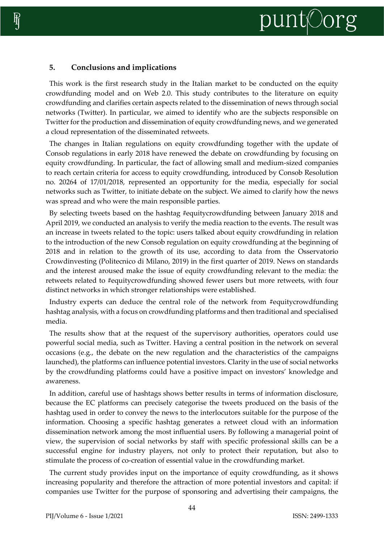# **5. Conclusions and implications**

This work is the first research study in the Italian market to be conducted on the equity crowdfunding model and on Web 2.0. This study contributes to the literature on equity crowdfunding and clarifies certain aspects related to the dissemination of news through social networks (Twitter). In particular, we aimed to identify who are the subjects responsible on Twitter for the production and dissemination of equity crowdfunding news, and we generated a cloud representation of the disseminated retweets.

The changes in Italian regulations on equity crowdfunding together with the update of Consob regulations in early 2018 have renewed the debate on crowdfunding by focusing on equity crowdfunding. In particular, the fact of allowing small and medium-sized companies to reach certain criteria for access to equity crowdfunding, introduced by Consob Resolution no. 20264 of 17/01/2018, represented an opportunity for the media, especially for social networks such as Twitter, to initiate debate on the subject. We aimed to clarify how the news was spread and who were the main responsible parties.

By selecting tweets based on the hashtag #equitycrowdfunding between January 2018 and April 2019, we conducted an analysis to verify the media reaction to the events. The result was an increase in tweets related to the topic: users talked about equity crowdfunding in relation to the introduction of the new Consob regulation on equity crowdfunding at the beginning of 2018 and in relation to the growth of its use, according to data from the Osservatorio Crowdinvesting (Politecnico di Milano, 2019) in the first quarter of 2019. News on standards and the interest aroused make the issue of equity crowdfunding relevant to the media: the retweets related to #equitycrowdfunding showed fewer users but more retweets, with four distinct networks in which stronger relationships were established.

Industry experts can deduce the central role of the network from #equitycrowdfunding hashtag analysis, with a focus on crowdfunding platforms and then traditional and specialised media.

The results show that at the request of the supervisory authorities, operators could use powerful social media, such as Twitter. Having a central position in the network on several occasions (e.g., the debate on the new regulation and the characteristics of the campaigns launched), the platforms can influence potential investors. Clarity in the use of social networks by the crowdfunding platforms could have a positive impact on investors' knowledge and awareness.

In addition, careful use of hashtags shows better results in terms of information disclosure, because the EC platforms can precisely categorise the tweets produced on the basis of the hashtag used in order to convey the news to the interlocutors suitable for the purpose of the information. Choosing a specific hashtag generates a retweet cloud with an information dissemination network among the most influential users. By following a managerial point of view, the supervision of social networks by staff with specific professional skills can be a successful engine for industry players, not only to protect their reputation, but also to stimulate the process of co-creation of essential value in the crowdfunding market.

The current study provides input on the importance of equity crowdfunding, as it shows increasing popularity and therefore the attraction of more potential investors and capital: if companies use Twitter for the purpose of sponsoring and advertising their campaigns, the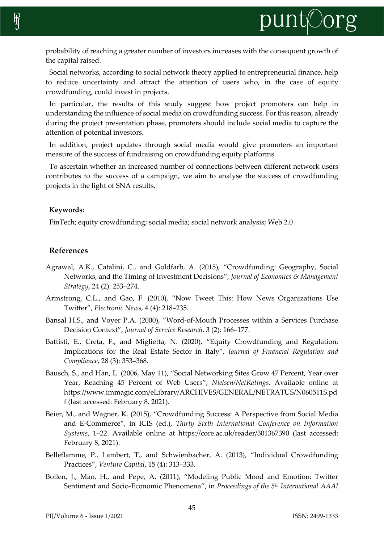

probability of reaching a greater number of investors increases with the consequent growth of the capital raised.

Social networks, according to social network theory applied to entrepreneurial finance, help to reduce uncertainty and attract the attention of users who, in the case of equity crowdfunding, could invest in projects.

In particular, the results of this study suggest how project promoters can help in understanding the influence of social media on crowdfunding success. Forthis reason, already during the project presentation phase, promoters should include social media to capture the attention of potential investors.

In addition, project updates through social media would give promoters an important measure of the success of fundraising on crowdfunding equity platforms.

To ascertain whether an increased number of connections between different network users contributes to the success of a campaign, we aim to analyse the success of crowdfunding projects in the light of SNA results.

#### **Keywords:**

FinTech; equity crowdfunding; social media; social network analysis; Web 2.0

# **References**

- Agrawal, A.K., Catalini, C., and Goldfarb, A. (2015), "Crowdfunding: Geography, Social Networks, and the Timing of Investment Decisions", *Journal of Economics & Management Strategy*, 24 (2): 253–274.
- Armstrong, C.L., and Gao, F. (2010), "Now Tweet This: How News Organizations Use Twitter", *Electronic News*, 4 (4): 218–235.
- Bansal H.S., and Voyer P.A. (2000), "Word-of-Mouth Processes within a Services Purchase Decision Context", *Journal of Service Research*, 3 (2): 166–177.
- Battisti, E., Creta, F., and Miglietta, N. (2020), "Equity Crowdfunding and Regulation: Implications for the Real Estate Sector in Italy", *Journal of Financial Regulation and Compliance*, 28 (3): 353–368.
- Bausch, S., and Han, L. (2006, May 11), "Social Networking Sites Grow 47 Percent, Year over Year, Reaching 45 Percent of Web Users", *Nielsen/NetRatings*. Available online at https://www.immagic.com/eLibrary/ARCHIVES/GENERAL/NETRATUS/N060511S.pd f (last accessed: February 8, 2021).
- Beier, M., and Wagner, K. (2015), "Crowdfunding Success: A Perspective from Social Media and E-Commerce", in ICIS (ed.), *Thirty Sixth International Conference on Information Systems*, 1–22. Available online at https://core.ac.uk/reader/301367390 (last accessed: February 8, 2021).
- Belleflamme, P., Lambert, T., and Schwienbacher, A. (2013), "Individual Crowdfunding Practices", *Venture Capital*, 15 (4): 313–333.
- Bollen, J., Mao, H., and Pepe, A. (2011), "Modeling Public Mood and Emotion: Twitter Sentiment and Socio-Economic Phenomena", in *Proceedings of the 5th International AAAI*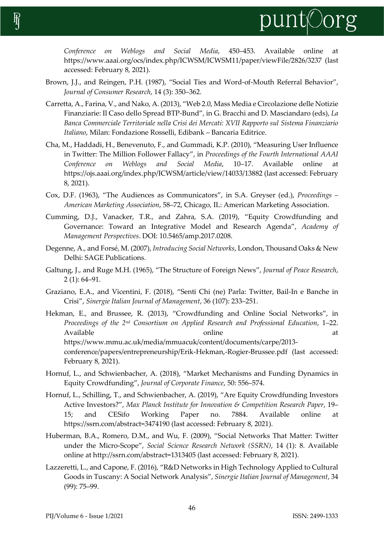

*Conference on Weblogs and Social Media*, 450–453. Available online at https://www.aaai.org/ocs/index.php/ICWSM/ICWSM11/paper/viewFile/2826/3237 (last accessed: February 8, 2021).

- Brown, J.J., and Reingen, P.H. (1987), "Social Ties and Word-of-Mouth Referral Behavior", *Journal of Consumer Research*, 14 (3): 350–362.
- Carretta, A., Farina, V., and Nako, A. (2013), "Web 2.0, Mass Media e Circolazione delle Notizie Finanziarie: Il Caso dello Spread BTP-Bund", in G. Bracchi and D. Masciandaro (eds), *La Banca Commerciale Territoriale nella Crisi dei Mercati: XVII Rapporto sul Sistema Finanziario Italiano*, Milan: Fondazione Rosselli, Edibank – Bancaria Editrice.
- Cha, M., Haddadi, H., Benevenuto, F., and Gummadi, K.P. (2010), "Measuring User Influence in Twitter: The Million Follower Fallacy", in *Proceedings of the Fourth International AAAI Conference on Weblogs and Social Media*, 10–17. Available online at https://ojs.aaai.org/index.php/ICWSM/article/view/14033/13882 (last accessed: February 8, 2021).
- Cox, D.F. (1963), "The Audiences as Communicators", in S.A. Greyser (ed.), *Proceedings – American Marketing Association*, 58–72, Chicago, IL: American Marketing Association.
- Cumming, D.J., Vanacker, T.R., and Zahra, S.A. (2019), "Equity Crowdfunding and Governance: Toward an Integrative Model and Research Agenda", *Academy of Management Perspectives*. DOI: 10.5465/amp.2017.0208.
- Degenne, A., and Forsé, M. (2007), *Introducing Social Networks*, London, Thousand Oaks & New Delhi: SAGE Publications.
- Galtung, J., and Ruge M.H. (1965), "The Structure of Foreign News", *Journal of Peace Research*, 2 (1): 64–91.
- Graziano, E.A., and Vicentini, F. (2018), "Senti Chi (ne) Parla: Twitter, Bail-In e Banche in Crisi", *Sinergie Italian Journal of Management*, 36 (107): 233–251.
- Hekman, E., and Brussee, R. (2013), "Crowdfunding and Online Social Networks", in *Proceedings of the 2 nd Consortium on Applied Research and Professional Education*, 1–22. Available at a series online at a contract  $\alpha$  at  $\alpha$ https://www.mmu.ac.uk/media/mmuacuk/content/documents/carpe/2013 conference/papers/entrepreneurship/Erik-Hekman,-Rogier-Brussee.pdf (last accessed: February 8, 2021).
- Hornuf, L., and Schwienbacher, A. (2018), "Market Mechanisms and Funding Dynamics in Equity Crowdfunding", *Journal of Corporate Finance*, 50: 556–574.
- Hornuf, L., Schilling, T., and Schwienbacher, A. (2019), "Are Equity Crowdfunding Investors Active Investors?", *Max Planck Institute for Innovation & Competition Research Paper*, 19– 15; and CESifo Working Paper no. 7884. Available online at https://ssrn.com/abstract=3474190 (last accessed: February 8, 2021).
- Huberman, B.A., Romero, D.M., and Wu, F. (2009), "Social Networks That Matter: Twitter under the Micro-Scope", *Social Science Research Network (SSRN)*, 14 (1): 8. Available online at http://ssrn.com/abstract=1313405 (last accessed: February 8, 2021).
- Lazzeretti, L., and Capone, F. (2016), "R&D Networks in High Technology Applied to Cultural Goods in Tuscany: A Social Network Analysis", *Sinergie Italian Journal of Management*, 34 (99): 75–99.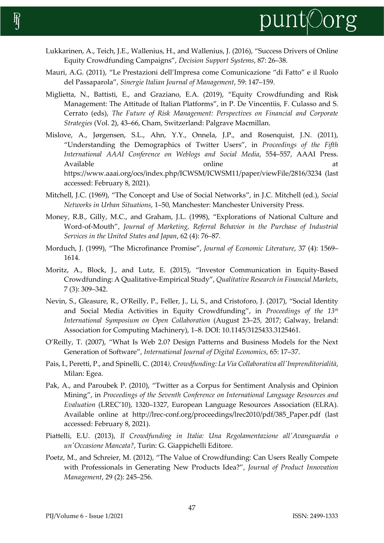

- Lukkarinen, A., Teich, J.E., Wallenius, H., and Wallenius, J. (2016), "Success Drivers of Online Equity Crowdfunding Campaigns", *Decision Support Systems*, 87: 26–38.
- Mauri, A.G. (2011), "Le Prestazioni dell'Impresa come Comunicazione "di Fatto" e il Ruolo del Passaparola", *Sinergie Italian Journal of Management*, 59: 147–159.
- Miglietta, N., Battisti, E., and Graziano, E.A. (2019), "Equity Crowdfunding and Risk Management: The Attitude of Italian Platforms", in P. De Vincentiis, F. Culasso and S. Cerrato (eds), *The Future of Risk Management: Perspectives on Financial and Corporate Strategies* (Vol. 2), 43–66, Cham, Switzerland: Palgrave Macmillan.
- Mislove, A., Jørgensen, S.L., Ahn, Y.Y., Onnela, J.P., and Rosenquist, J.N. (2011), "Understanding the Demographics of Twitter Users", in *Proceedings of the Fifth International AAAI Conference on Weblogs and Social Media*, 554–557, AAAI Press. Available at a state online at a contract  $\alpha$  at a contract  $\alpha$  at a contract  $\alpha$  at a contract  $\alpha$  at a contract  $\alpha$  at a contract  $\alpha$  and  $\alpha$  at a contract  $\alpha$  and  $\alpha$  and  $\alpha$  and  $\alpha$  are contract  $\alpha$  and  $\alpha$ https://www.aaai.org/ocs/index.php/ICWSM/ICWSM11/paper/viewFile/2816/3234 (last accessed: February 8, 2021).
- Mitchell, J.C. (1969), "The Concept and Use of Social Networks", in J.C. Mitchell (ed.), *Social Networks in Urban Situations*, 1–50, Manchester: Manchester University Press.
- Money, R.B., Gilly, M.C., and Graham, J.L. (1998), "Explorations of National Culture and Word-of-Mouth", *Journal of Marketing, Referral Behavior in the Purchase of Industrial Services in the United States and Japan*, 62 (4): 76–87.
- Morduch, J. (1999), "The Microfinance Promise", *Journal of Economic Literature*, 37 (4): 1569– 1614.
- Moritz, A., Block, J., and Lutz, E. (2015), "Investor Communication in Equity-Based Crowdfunding: A Qualitative-Empirical Study", *Qualitative Research in Financial Markets*, 7 (3): 309–342.
- Nevin, S., Gleasure, R., O'Reilly, P., Feller, J., Li, S., and Cristoforo, J. (2017), "Social Identity and Social Media Activities in Equity Crowdfunding", in *Proceedings of the 13th International Symposium on Open Collaboration* (August 23–25, 2017; Galway, Ireland: Association for Computing Machinery), 1–8. DOI: 10.1145/3125433.3125461.
- O'Reilly, T. (2007), "What Is Web 2.0? Design Patterns and Business Models for the Next Generation of Software", *International Journal of Digital Economics*, 65: 17–37.
- Pais, I., Peretti, P., and Spinelli, C. (2014*), Crowdfunding: La Via Collaborativa all'Imprenditorialità*, Milan: Egea.
- Pak, A., and Paroubek P. (2010), "Twitter as a Corpus for Sentiment Analysis and Opinion Mining", in *Proceedings of the Seventh Conference on International Language Resources and Evaluation* (LREC'10), 1320–1327, European Language Resources Association (ELRA). Available online at http://lrec-conf.org/proceedings/lrec2010/pdf/385\_Paper.pdf (last accessed: February 8, 2021).
- Piattelli, E.U. (2013), *Il Crowdfunding in Italia: Una Regolamentazione all'Avanguardia o un'Occasione Mancata?*, Turin: G. Giappichelli Editore.
- Poetz, M., and Schreier, M. (2012), "The Value of Crowdfunding: Can Users Really Compete with Professionals in Generating New Products Idea?", *Journal of Product Innovation Management*, 29 (2): 245–256.